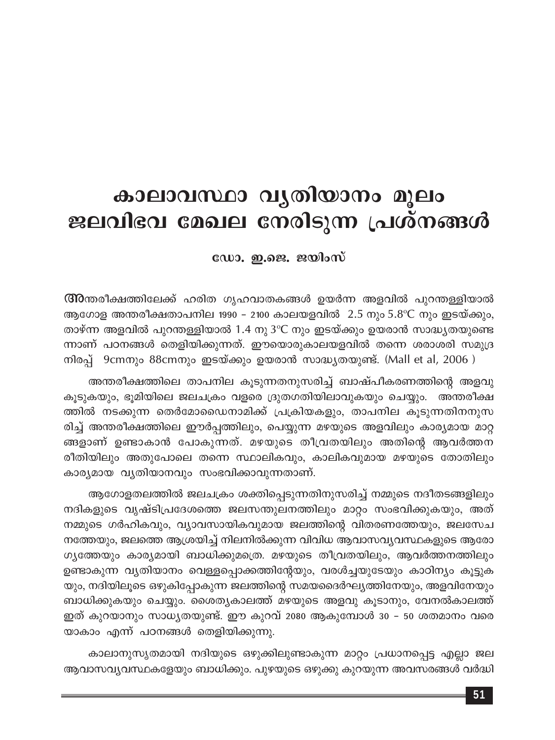# കാലാവസ്ഥാ വൃതിയാനം മൂലം ജലവിഭവ മേഖല നേരിടുന്ന പ്രശ്നങ്ങൾ

ഡോ. ഇ.ജെ. ജയിംസ്

**അറ്റ**ത്തിക്ഷത്തിലേക്ക് ഹരിത ഗൃഹവാതകങ്ങൾ ഉയർന്ന അളവിൽ പുറന്തള്ളിയാൽ ആഗോള അന്തരീക്ഷതാപനില 1990 - 2100 കാലയളവിൽ  $\,$  2.5 നും 5.8°C നും ഇടയ്ക്കും, താഴ്ന്ന അളവിൽ പുറന്തള്ളിയാൽ 1.4 നു 3℃ നും ഇടയ്ക്കും ഉയരാൻ സാദ്ധ്യതയുണ്ടെ ന്നാണ് പഠനങ്ങൾ തെളിയിക്കുന്നത്. ഈയൊരുകാലയളവിൽ തന്നെ ശരാശരി സമുദ്ര  $\overline{w}$ ിരപ്പ് 9cmനും 88cmനും ഇടയ്ക്കും ഉയരാൻ സാദ്ധ്യതയുണ്ട്. (Mall et al, 2006 )

അന്തരീക്ഷത്തിലെ താപനില കൂടുന്നതനുസരിച്ച് ബാഷ്പീകരണത്തിന്റെ അളവു കൂടുകയും, ഭൂമിയിലെ ജലചക്രം വളരെ ദ്രുതഗതിയിലാവുകയും ചെയ്യും. അന്തരീക്ഷ ത്തിൽ നടക്കുന്ന തെർമോഡൈനാമിക്ക് പ്രക്രിയകളും, താപനില കൂടുന്നതിനനുസ രിച്ച് അന്തരീക്ഷത്തിലെ ഈർപ്പത്തിലും, പെയ്യുന്ന മഴയുടെ അളവിലും കാര്യമായ മാറ്റ ങ്ങളാണ് ഉണ്ടാകാൻ പോകുന്നത്. മഴയുടെ തീവ്രതയിലും അതിന്റെ ആവർത്തന രീതിയിലും അതുപോലെ തന്നെ സ്ഥാലികവും, കാലികവുമായ മഴയുടെ തോതിലും കാര്യമായ വ്യതിയാനവും സംഭവിക്കാവുന്നതാണ്.

ആഗോളതലത്തിൽ ജലചക്രം ശക്തിപ്പെടുന്നതിനുസരിച്ച് നമ്മുടെ നദീതടങ്ങളിലും നദികളുടെ വൃഷ്ടിപ്രദേശത്തെ ജലസന്തുലനത്തിലും മാറ്റം സംഭവിക്കുകയും, അത് നമ്മുടെ ഗർഹികവും, വ്യാവസായികവുമായ ജലത്തിന്റെ വിതരണത്തേയും, ജലസേച നത്തേയും, ജലത്തെ ആശ്രയിച്ച് നിലനിൽക്കുന്ന വിവിധ ആവാസവ്യവസ്ഥകളുടെ ആരോ ഗ്യഭത്തയും കാര്യമായി ബാധിക്കുമത്രെ. മഴയുടെ തീവ്രതയിലും, ആവർത്തനത്തിലും ഉണ്ടാകുന്ന വൃതിയാനം വെള്ളപ്പൊക്കത്തിന്റേയും, വരൾച്ചയുടേയും കാഠിന്യം കൂട്ടുക യും, നദിയിലൂടെ ഒഴുകിപ്പോകുന്ന ജലത്തിന്റെ സമയദൈർഘ്യത്തിനേയും, അളവിനേയും ബാധിക്കുകയും ചെയ്യും. ശൈതൃകാലത്ത് മഴയുടെ അളവു കൂടാനും, വേനൽകാലത്ത് ഇത് കുറയാനും സാധ്യതയുണ്ട്. ഈ കുറവ് 2080 ആകുമ്പോൾ 30 – 50 ശതമാനം വരെ യാകാം എന്ന് പഠനങ്ങൾ തെളിയിക്കുന്നു.

കാലാനുസൃതമായി നദിയുടെ ഒഴുക്കിലുണ്ടാകുന്ന മാറ്റം പ്രധാനപ്പെട്ട എല്ലാ ജല ആവാസവ്യവസ്ഥകളേയും ബാധിക്കും. പുഴയുടെ ഒഴുക്കു കുറയുന്ന അവസരങ്ങൾ വർദ്ധി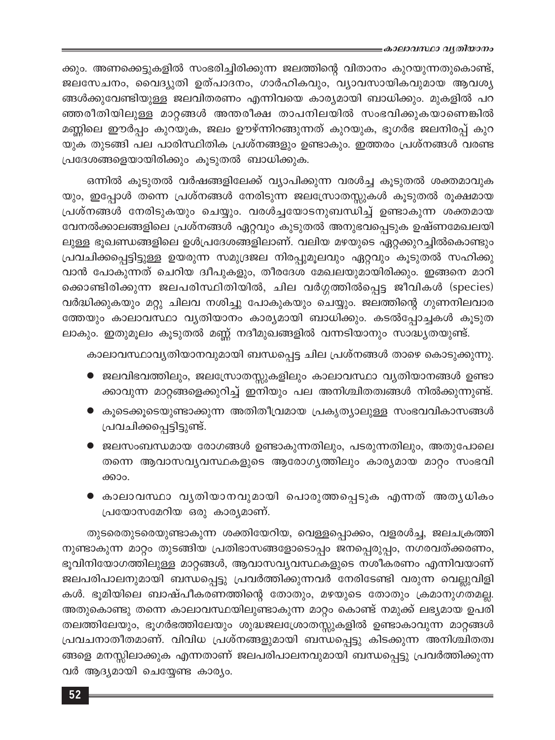ക്കും. അണക്കെട്ടുകളിൽ സംഭരിച്ചിരിക്കുന്ന ജലത്തിന്റെ വിതാനം കുറയുന്നതുകൊണ്ട്, ജലസേചനം, വൈദ്യുതി ഉത്പാദനം, ഗാർഹികവും, വ്യാവസായികവുമായ ആവശ്യ ങ്ങൾക്കുവേണ്ടിയുള്ള ജലവിതരണം എന്നിവയെ കാര്യമായി ബാധിക്കും. മുകളിൽ പറ ഞ്ഞരീതിയിലുള്ള മാറ്റങ്ങൾ അന്തരീക്ഷ താപനിലയിൽ സംഭവിക്കുകയാണെങ്കിൽ മണ്ണിലെ ഈർപ്പം കുറയുക, ജലം ഊഴ്ന്നിറങ്ങുന്നത് കുറയുക, ഭൂഗർഭ ജലനിരപ്പ് കുറ യുക തുടങ്ങി പല പാരിസ്ഥിതിക പ്രശ്നങ്ങളും ഉണ്ടാകും. ഇത്തരം പ്രശ്നങ്ങൾ വരണ്ട പ്രദേശങ്ങളെയായിരിക്കും കൂടുതൽ ബാധിക്കുക.

ഒന്നിൽ കൂടുതൽ വർഷങ്ങളിലേക്ക് വ്യാപിക്കുന്ന വരൾച്ച കൂടുതൽ ശക്തമാവുക യും, ഇപ്പോൾ തന്നെ പ്രശ്നങ്ങൾ നേരിടുന്ന ജലസ്രോതസ്സുകൾ കൂടുതൽ രൂക്ഷമായ പ്രശ്നങ്ങൾ നേരിടുകയും ചെയ്യും. വരൾച്ചയോടനുബന്ധിച്ച് ഉണ്ടാകുന്ന ശക്തമായ വേനൽക്കാലങ്ങളിലെ പ്രശ്നങ്ങൾ ഏറ്റവും കുടുതൽ അനുഭവപ്പെടുക ഉഷ്ണമേഖലയി ലുള്ള ഭൂഖണ്ഡങ്ങളിലെ ഉൾപ്രദേശങ്ങളിലാണ്. വലിയ മഴയുടെ ഏറ്റക്കുറച്ചിൽകൊണ്ടും പ്രവചിക്കപ്പെട്ടിട്ടുള്ള ഉയരുന്ന സമുദ്രജല നിരപ്പുമൂലവും ഏറ്റവും കൂടുതൽ സഹിക്കു വാൻ പോകുന്നത് ചെറിയ ദ്വീപുകളും, തീരദേശ മേഖലയുമായിരിക്കും. ഇങ്ങനെ മാറി ക്കൊണ്ടിരിക്കുന്ന ജലപരിസ്ഥിതിയിൽ, ചില വർഗ്ഗത്തിൽപ്പെട്ട ജീവികൾ (species) വർദ്ധിക്കുകയും മറ്റു ചിലവ നശിച്ചു പോകുകയും ചെയ്യും. ജലത്തിന്റെ ഗുണനിലവാര ത്തേയും കാലാവസ്ഥാ വ്യതിയാനം കാര്യമായി ബാധിക്കും. കടൽപ്പോച്ചകൾ കൂടുത ലാകും. ഇതുമൂലം കൂടുതൽ മണ്ണ് നദീമുഖങ്ങളിൽ വന്നടിയാനും സാദ്ധ്യതയുണ്ട്.

കാലാവസ്ഥാവൃതിയാനവുമായി ബന്ധപ്പെട്ട ചില പ്രശ്നങ്ങൾ താഴെ കൊടുക്കുന്നു.

- $\bullet$  ജലവിഭവത്തിലും, ജലസ്രോതസ്സുകളിലും കാലാവസ്ഥാ വൃതിയാനങ്ങൾ ഉണ്ടാ ക്കാവുന്ന മാറ്റങ്ങളെക്കുറിച്ച് ഇനിയും പല അനിശ്ചിതത്വങ്ങൾ നിൽക്കുന്നുണ്ട്.
- കൂടെക്കൂടെയുണ്ടാക്കുന്ന അതിതീവ്രമായ പ്രകൃത്യാലുള്ള സംഭവവികാസങ്ങൾ പ്രവചിക്കപ്പെട്ടിട്ടുണ്ട്.
- ജലസംബന്ധമായ രോഗങ്ങൾ ഉണ്ടാകുന്നതിലും, പടരുന്നതിലും, അതുപോലെ തന്നെ ആവാസവ്യവസ്ഥകളുടെ ആരോഗ്യത്തിലും കാര്യമായ മാറ്റം സംഭവി ക്കാം.
- കാലാവസ്ഥാ വൃതിയാനവുമായി പൊരുത്തപ്പെടുക എന്നത് അതൃധികം പ്രയോസമേറിയ ഒരു കാര്യമാണ്.

തുടരെതുടരെയുണ്ടാകുന്ന ശക്തിയേറിയ, വെള്ളപ്പൊക്കം, വളരൾച്ച, ജലചക്രത്തി നുണ്ടാകുന്ന മാറ്റം തുടങ്ങിയ പ്രതിഭാസങ്ങളോടൊപ്പം ജനപ്പെരുപ്പം, നഗരവത്ക്കരണം, ഭൂവിനിയോഗത്തിലുള്ള മാറ്റങ്ങൾ, ആവാസവ്യവസ്ഥകളുടെ നശീകരണം എന്നിവയാണ് ജലപരിപാലനുമായി ബന്ധപ്പെട്ടു പ്രവർത്തിക്കുന്നവർ നേരിടേണ്ടി വരുന്ന വെല്ലുവിളി കൾ. ഭൂമിയിലെ ബാഷ്പീകരണത്തിന്റെ തോതും, മഴയുടെ തോതും ക്രമാനുഗതമല്ല. അതുകൊണ്ടു തന്നെ കാലാവസ്ഥയിലുണ്ടാകുന്ന മാറ്റം കൊണ്ട് നമുക്ക് ലഭ്യമായ ഉപരി തലത്തിലേയും, ഭൂഗർഭത്തിലേയും ശുദ്ധജലശ്രോതസ്സുകളിൽ ഉണ്ടാകാവുന്ന മാറ്റങ്ങൾ പ്രവചനാതീതമാണ്. വിവിധ പ്രശ്നങ്ങളുമായി ബന്ധപ്പെട്ടു കിടക്കുന്ന അനിശ്ചിതത്വ ങ്ങളെ മനസ്സിലാക്കുക എന്നതാണ് ജലപരിപാലനവുമായി ബന്ധപ്പെട്ടു പ്രവർത്തിക്കുന്ന വർ ആദ്യമായി ചെയ്യേണ്ട കാര്യം.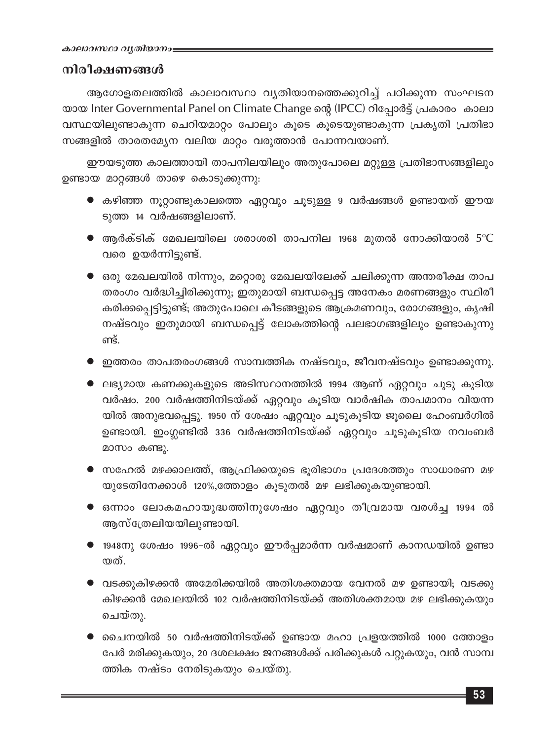# നിരീക്ഷണങ്ങൾ

ആഗോളതലത്തിൽ കാലാവസ്ഥാ വ്യതിയാനത്തെക്കുറിച്ച് പഠിക്കുന്ന സംഘടന യായ Inter Governmental Panel on Climate Change ന്റെ (IPCC) റിപ്പോർട്ട് പ്രകാരം കാലാ വസ്ഥയിലുണ്ടാകുന്ന ചെറിയമാറ്റം പോലും കൂടെ കൂടെയുണ്ടാകുന്ന പ്രകൃതി പ്രതിഭാ സങ്ങളിൽ താരതമ്യേന വലിയ മാറ്റം വരുത്താൻ പോന്നവയാണ്.

ഈയടുത്ത കാലത്തായി താപനിലയിലും അതുപോലെ മറ്റുള്ള പ്രതിഭാസങ്ങളിലും ഉണ്ടായ മാറ്റങ്ങൾ താഴെ കൊടുക്കുന്നു:

- $\bullet$  കഴിഞ്ഞ നൂറ്റാണ്ടുകാലത്തെ ഏറ്റവും ചൂടുള്ള 9 വർഷങ്ങൾ ഉണ്ടായത് ഈയ ടുത്ത 14 വർഷങ്ങളിലാണ്.
- $\bullet$  ആർക്ടിക് മേഖലയിലെ ശരാശരി താപനില 1968 മുതൽ നോക്കിയാൽ 5°C വരെ ഉയർന്നിട്ടുണ്ട്.
- $\bullet$  ഒരു മേഖലയിൽ നിന്നും, മറ്റൊരു മേഖലയിലേക്ക് ചലിക്കുന്ന അന്തരീക്ഷ താപ തരംഗം വർദ്ധിച്ചിരിക്കുന്നു; ഇതുമായി ബന്ധപ്പെട്ട അനേകം മരണങ്ങളും സ്ഥിരീ കരിക്കപ്പെട്ടിട്ടുണ്ട്; അതുപോലെ കീടങ്ങളുടെ ആക്രമണവും, രോഗങ്ങളും, കൃഷി നഷ്ടവും ഇതുമായി ബന്ധപ്പെട്ട് ലോകത്തിന്റെ പലഭാഗങ്ങളിലും ഉണ്ടാകുന്നു ണ്ട്.
- ഇത്തരം താപതരംഗങ്ങൾ സാമ്പത്തിക നഷ്ടവും, ജീവനഷ്ടവും ഉണ്ടാക്കുന്നു.
- ) ലഭ്യമായ കണക്കുകളുടെ അടിസ്ഥാനത്തിൽ 1994 ആണ് ഏറ്റവും ചൂടു കൂടിയ വർഷം. 200 വർഷത്തിനിടയ്ക്ക് ഏറ്റവും കൂടിയ വാർഷിക താപമാനം വിയന്ന യിൽ അനുഭവപ്പെട്ടു. 1950 ന് ശേഷം ഏറ്റവും ചൂടുകൂടിയ ജൂലൈ ഹേംബർഗിൽ ഉണ്ടായി. ഇംഗ്ലണ്ടിൽ 336 വർഷത്തിനിടയ്ക്ക് ഏറ്റവും ചൂടുകൂടിയ നവംബർ മാസം കണ്ടു.
- $\bullet$  സഹേൽ മഴക്കാലത്ത്, ആഫ്രിക്കയുടെ ഭൂരിഭാഗം പ്രദേശത്തും സാധാരണ മഴ യുടേതിനേക്കാൾ 120%,ത്തോളം കൂടുതൽ മഴ ലഭിക്കുകയുണ്ടായി.
- ഒന്നാം ലോകമഹായുദ്ധത്തിനുശേഷം ഏറ്റവും തീവ്രമായ വരൾച്ച 1994 ൽ ആസ്ത്രേലിയയിലുണ്ടായി.
- <mark>●</mark> 1948നു ശേഷം 1996–ൽ ഏറ്റവും ഈർപ്പമാർന്ന വർഷമാണ് കാനഡയിൽ ഉണ്ടാ യത്.
- $\bullet$  വടക്കുകിഴക്കൻ അമേരിക്കയിൽ അതിശക്തമായ വേനൽ മഴ ഉണ്ടായി; വടക്കു കിഴക്കൻ മേഖലയിൽ 102 വർഷത്തിനിടയ്ക്ക് അതിശക്തമായ മഴ ലഭിക്കുകയും ചെയ്തു.
- ചൈനയിൽ 50 വർഷത്തിനിടയ്ക്ക് ഉണ്ടായ മഹാ പ്രളയത്തിൽ 1000 ത്തോളം പേർ മരിക്കുകയും, 20 ദശലക്ഷം ജനങ്ങൾക്ക് പരിക്കുകൾ പറ്റുകയും, വൻ സാമ്പ ത്തിക നഷ്ടം നേരിടുകയും ചെയ്തു.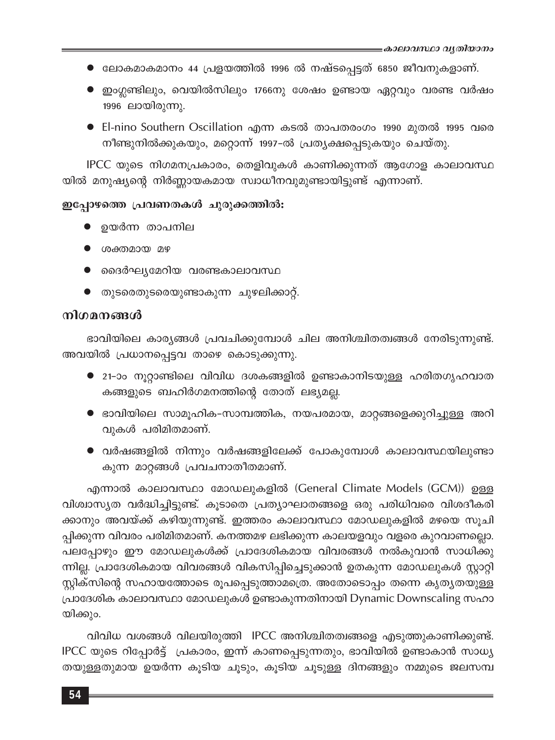- ലോകമാകമാനം 44 പ്രളയത്തിൽ 1996 ൽ നഷ്ടപ്പെട്ടത് 6850 ജീവനുകളാണ്.
- ഇംഗ്ലണ്ടിലും, വെയിൽസിലും 1766നു ശേഷം ഉണ്ടായ ഏറ്റവും വരണ്ട വർഷം 1996 ലായിരുന്നു.
- El-nino Southern Oscillation എന്ന കടൽ താപതരംഗം 1990 മുതൽ 1995 വരെ നീണ്ടുനിൽക്കുകയും, മറ്റൊന്ന് 1997-ൽ പ്രത്യക്ഷപ്പെടുകയും ചെയ്തു.

IPCC യുടെ നിഗമനപ്രകാരം, തെളിവുകൾ കാണിക്കുന്നത് ആഗോള കാലാവസ്ഥ യിൽ മനുഷ്യന്റെ നിർണ്ണായകമായ സ്വാധീനവുമുണ്ടായിട്ടുണ്ട് എന്നാണ്.

### ഇപ്പോഴത്തെ പ്രവണതകൾ ചുരുക്കത്തിൽ:

- ഉയർന്ന താപനില
- ശക്തമായ മഴ
- ദൈർഘ്യമേറിയ വരണ്ടകാലാവസ്ഥ
- തുടരെതുടരെയുണ്ടാകുന്ന ചുഴലിക്കാറ്റ്.

## നിഗമനങ്ങൾ

ഭാവിയിലെ കാര്യങ്ങൾ പ്രവചിക്കുമ്പോൾ ചില അനിശ്ചിതത്വങ്ങൾ നേരിടുന്നുണ്ട്. അവയിൽ പ്രധാനപ്പെട്ടവ താഴെ കൊടുക്കുന്നു.

- $\bullet$  21-ാം നൂറ്റാണ്ടിലെ വിവിധ ദശകങ്ങളിൽ ഉണ്ടാകാനിടയുള്ള ഹരിതഗൃഹവാത കങ്ങളുടെ ബഹിർഗമനത്തിന്റെ തോത് ലഭ്യമല്ല.
- $\bullet$  ഭാവിയിലെ സാമുഹിക-സാമ്പത്തിക, നയപരമായ, മാറ്റങ്ങളെക്കുറിച്ചുള്ള അറി വുകൾ പരിമിതമാണ്.
- വർഷങ്ങളിൽ നിന്നും വർഷങ്ങളിലേക്ക് പോകുമ്പോൾ കാലാവസ്ഥയിലുണ്ടാ കുന്ന മാറ്റങ്ങൾ പ്രവചനാതീതമാണ്.

എന്നാൽ കാലാവസ്ഥാ മോഡലുകളിൽ (General Climate Models (GCM)) ഉള്ള വിശ്വാസ്യത വർദ്ധിച്ചിട്ടുണ്ട്. കൂടാതെ പ്രത്യാഘാതങ്ങളെ ഒരു പരിധിവരെ വിശദീകരി ക്കാനും അവയ്ക്ക് കഴിയുന്നുണ്ട്. ഇത്തരം കാലാവസ്ഥാ മോഡലുകളിൽ മഴയെ സൂചി പ്പിക്കുന്ന വിവരം പരിമിതമാണ്. കനത്തമഴ ലഭിക്കുന്ന കാലയളവും വളരെ കുറവാണല്ലൊ. പലപ്പോഴും ഈ മോഡലുകൾക്ക് പ്രാദേശികമായ വിവരങ്ങൾ നൽകുവാൻ സാധിക്കു ന്നില്ല. പ്രാദേശികമായ വിവരങ്ങൾ വികസിപ്പിച്ചെടുക്കാൻ ഉതകുന്ന മോഡലുകൾ സ്റ്റാറ്റി സ്റ്റിക്സിന്റെ സഹായത്തോടെ രൂപപ്പെടുത്താമത്രെ. അതോടൊപ്പം തന്നെ കൃതൃതയുള്ള പ്രാദേശിക കാലാവസ്ഥാ മോഡലുകൾ ഉണ്ടാകുന്നതിനായി Dynamic Downscaling സഹാ യിക്കും.

വിവിധ വശങ്ങൾ വിലയിരുത്തി IPCC അനിശ്ചിതത്വങ്ങളെ എടുത്തുകാണിക്കുണ്ട്. IPCC യുടെ റിപ്പോർട്ട് പ്രകാരം, ഇന്ന് കാണപ്പെടുന്നതും, ഭാവിയിൽ ഉണ്ടാകാൻ സാധ്യ തയുള്ളതുമായ ഉയർന്ന കൂടിയ ചൂടും, കൂടിയ ചൂടുള്ള ദിനങ്ങളും നമ്മുടെ ജലസമ്പ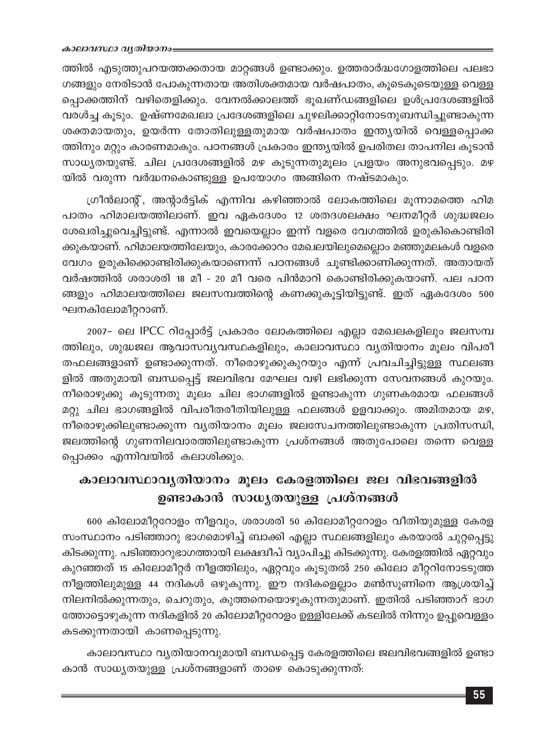#### കാലാവസ്ഥാ വൃതിയാനം

ത്തിൽ എടുത്തുപറയത്തക്കതായ മാറ്റങ്ങൾ ഉണ്ടാക്കും. ഉത്തരാർദ്ധഗോളത്തിലെ പലഭാ ഗങ്ങളും നേരിടാൻ പോകുന്നതായ അതിശക്തമായ വർഷപാതം, കൂടെകൂടെയുള്ള വെള്ള പ്പൊക്കത്തിന് വഴിതെളിക്കും. വേനൽക്കാലത്ത് ഭൂഖണ്ഡങ്ങളിലെ ഉൾപ്രദേശങ്ങളിൽ വരൾച്ച കൂടും. ഉഷ്ണമേഖലാ പ്രദേശങ്ങളിലെ ചുഴലിക്കാറ്റിനോടനുബന്ധിച്ചുണ്ടാകുന്ന ശക്തമായതും, ഉയർന്ന തോതിലുള്ളതുമായ വർഷപാതം ഇന്ത്യയിൽ വെള്ളപ്പൊക്ക ത്തിനും മറ്റും കാരണമാകും. പഠനങ്ങൾ പ്രകാരം ഇന്ത്യയിൽ ഉപരിതല താപനില കൂടാൻ സാധ്യതയുണ്ട്. ചില പ്രദേശങ്ങളിൽ മഴ കൂടുന്നതുമൂലം പ്രളയം അനുഭവപ്പെടും. മഴ യിൽ വരുന്ന വർദ്ധനകൊണ്ടുള്ള ഉപയോഗം അങ്ങിനെ നഷ്ടമാകും.

ഗ്രീൻലാന്റ്, അന്റാർട്ടിക് എന്നിവ കഴിഞ്ഞാൽ ലോകത്തിലെ മൂന്നാമത്തെ ഹിമ പാതം ഹിമാലയത്തിലാണ്. ഇവ ഏകദേശം 12 ശതദശലക്ഷം ഘനമീറ്റർ ശുദ്ധജലം ശേഖരിച്ചുവെച്ചിട്ടുണ്ട്. എന്നാൽ ഇവയെല്ലാം ഇന്ന് വളരെ വേഗത്തിൽ ഉരുകികൊണ്ടിരി ക്കുകയാണ്. ഹിമാലയത്തിലേയും, കാരക്കോറം മേഖലയിലുമെല്ലൊം മഞ്ഞുമലകൾ വളരെ വേഗം ഉരുകിക്കൊണ്ടിരിക്കുകയാണെന്ന് പഠനങ്ങൾ ചൂണ്ടിക്കാണിക്കുന്നത്. അതായത് വർഷത്തിൽ ശരാശരി 18 മീ - 20 മീ വരെ പിൻമാറി കൊണ്ടിരിക്കുകയാണ്. പല പഠന ങ്ങളും ഹിമാലയത്തിലെ ജലസമ്പത്തിന്റെ കണക്കുകൂട്ടിയിട്ടുണ്ട്. ഇത് ഏകദേശം 500 ഘനകിലോമീറ്ററാണ്.

2007- ലെ IPCC റിപ്പോർട്ട് പ്രകാരം ലോകത്തിലെ എല്ലാ മേഖലകളിലും ജലസമ്പ ത്തിലും, ശുദ്ധജല ആവാസവ്യവസ്ഥകളിലും, കാലാവസ്ഥാ വ്യതിയാനം മൂലം വിപരീ തഫലങ്ങളാണ് ഉണ്ടാക്കുന്നത്. നീരൊഴുക്കുകുറയും എന്ന് പ്രവചിച്ചിട്ടുള്ള സ്ഥലങ്ങ ളിൽ അതുമായി ബന്ധപ്പെട്ട് ജലവിഭവ മേഘല വഴി ലഭിക്കുന്ന സേവനങ്ങൾ കുറയും. നീരൊഴുക്കു കൂടുന്നതു മൂലം ചില ഭാഗങ്ങളിൽ ഉണ്ടാകുന്ന ഗുണകരമായ ഫലങ്ങൾ മറ്റു ചില ഭാഗങ്ങളിൽ വിപരീതരീതിയിലുള്ള ഫലങ്ങൾ ഉളവാക്കും. അമിതമായ മഴ, നീരൊഴുക്കിലുണ്ടാക്കുന്ന വ്യതിയാനം മൂലം ജലസേചനത്തിലുണ്ടാകുന്ന പ്രതിസന്ധി, ജലത്തിന്റെ ഗുണനിലവാരത്തിലുണ്ടാകുന്ന പ്രശ്നങ്ങൾ അതുപോലെ തന്നെ വെള്ള പ്പൊക്കം എന്നിവയിൽ കലാശിക്കും.

# കാലാവസ്ഥാവൃതിയാനം മൂലം കേരളത്തിലെ ജല വിഭവങ്ങളിൽ ഉണ്ടാകാൻ സാധ്യതയുള്ള പ്രശ്നങ്ങൾ

600 കിലോമീറ്ററോളം നീളവും, ശരാശരി 50 കിലോമീറ്ററോളം വീതിയുമുള്ള കേരള സംസ്ഥാനം പടിഞ്ഞാറു ഭാഗമൊഴിച്ച് ബാക്കി എല്ലാ സ്ഥലങ്ങളിലും കരയാൽ ചുറ്റപ്പെട്ടു കിടക്കുന്നു. പടിഞ്ഞാറുഭാഗത്തായി ലക്ഷദ്വീപ് വ്യാപിച്ചു കിടക്കുന്നു. കേരളത്തിൽ ഏറ്റവും കുറഞ്ഞത് 15 കിലോമീറ്റർ നീളത്തിലും, ഏറ്റവും കൂടുതൽ 250 കിലോ മീറ്ററിനോടടുത്ത നീളത്തിലുമുള്ള 44 നദികൾ ഒഴുകുന്നു. ഈ നദികളെല്ലാം മൺസൂണിനെ ആശ്രയിച്ച് നിലനിൽക്കുന്നതും, ചെറുതും, കുത്തനെയൊഴുകുന്നതുമാണ്. ഇതിൽ പടിഞ്ഞാറ് ഭാഗ ത്തോട്ടൊഴുകുന്ന നദികളിൽ 20 കിലോമീറ്ററോളം ഉള്ളിലേക്ക് കടലിൽ നിന്നും ഉപ്പുവെള്ളം കടക്കുന്നതായി കാണപ്പെടുന്നു.

കാലാവസ്ഥാ വ്യതിയാനവുമായി ബന്ധപ്പെട്ട കേരളത്തിലെ ജലവിഭവങ്ങളിൽ ഉണ്ടാ കാൻ സാധ്യതയുള്ള പ്രശ്നങ്ങളാണ് താഴെ കൊടുക്കുന്നത്: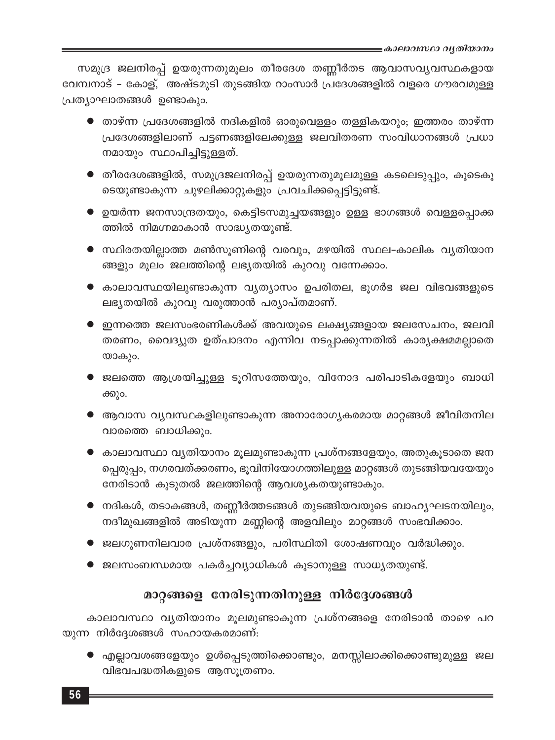സമുദ്ര ജലനിരപ്പ് ഉയരുന്നതുമൂലം തീരദേശ തണ്ണീർതട ആവാസവ്യവസ്ഥകളായ വേമ്പനാട് - കോള്, അഷ്ടമുടി തുടങ്ങിയ റാംസാർ പ്രദേശങ്ങളിൽ വളരെ ഗൗരവമുള്ള പ്രത്യാഘാതങ്ങൾ ഉണ്ടാകും.

- $\bullet$  താഴ്ന്ന പ്രദേശങ്ങളിൽ നദികളിൽ ഓരുവെള്ളം തള്ളികയറും; ഇത്തരം താഴ്ന്ന പ്രദേശങ്ങളിലാണ് പട്ടണങ്ങളിലേക്കുള്ള ജലവിതരണ സംവിധാനങ്ങൾ പ്രധാ നമായും സ്ഥാപിച്ചിട്ടുള്ളത്.
- തീരദേശങ്ങളിൽ, സമുദ്രജലനിരപ്പ് ഉയരുന്നതുമൂലമുള്ള കടലെടുപ്പും, കൂടെകൂ ടെയുണ്ടാകുന്ന ചുഴലിക്കാറ്റുകളും പ്രവചിക്കപ്പെട്ടിട്ടുണ്ട്.
- $\bullet$  ഉയർന്ന ജനസാന്ദ്രതയും, കെട്ടിടസമുച്ചയങ്ങളും ഉള്ള ഭാഗങ്ങൾ വെള്ളപ്പൊക്ക ത്തിൽ നിമഗ്നമാകാൻ സാദ്ധ്യതയുണ്ട്.
- സ്ഥിരതയില്ലാത്ത മൺസൂണിന്റെ വരവും, മഴയിൽ സ്ഥല-കാലിക വ്യതിയാന ങ്ങളും മൂലം ജലത്തിന്റെ ലഭ്യതയിൽ കുറവു വന്നേക്കാം.
- $\bullet$  കാലാവസ്ഥയിലുണ്ടാകുന്ന വ്യത്യാസം ഉപരിതല, ഭൂഗർഭ ജല വിഭവങ്ങളുടെ ലഭ്യതയിൽ കുറവു വരുത്താൻ പര്യാപ്തമാണ്.
- $\bullet$  ഇന്നത്തെ ജലസംഭരണികൾക്ക് അവയുടെ ലക്ഷ്യങ്ങളായ ജലസേചനം, ജലവി തരണം, വൈദ്യുത ഉത്പാദനം എന്നിവ നടപ്പാക്കുന്നതിൽ കാര്യക്ഷമമല്ലാതെ യാകും.
- ▶ ജലത്തെ ആശ്രയിച്ചുള്ള ടൂറിസത്തേയും, വിനോദ പരിപാടികളേയും ബാധി ക്കും.
- ആവാസ വ്യവസ്ഥകളിലുണ്ടാകുന്ന അനാരോഗ്യകരമായ മാറ്റങ്ങൾ ജീവിതനില വാരത്തെ ബാധിക്കും.
- $\bullet$  കാലാവസ്ഥാ വൃതിയാനം മൂലമുണ്ടാകുന്ന പ്രശ്നങ്ങളേയും, അതുകൂടാതെ ജന പ്പെരുപ്പം, നഗരവത്ക്കരണം, ഭൂവിനിയോഗത്തിലുള്ള മാറ്റങ്ങൾ തുടങ്ങിയവയേയും നേരിടാൻ കൂടുതൽ ജലത്തിന്റെ ആവശ്യകതയുണ്ടാകും.
- $\bullet$  നദികൾ, തടാകങ്ങൾ, തണ്ണീർത്തടങ്ങൾ തുടങ്ങിയവയുടെ ബാഹൃഘടനയിലും, നദീമുഖങ്ങളിൽ അടിയുന്ന മണ്ണിന്റെ അളവിലും മാറ്റങ്ങൾ സംഭവിക്കാം.
- $\bullet$  ജലഗുണനിലവാര പ്രശ്നങ്ങളും, പരിസ്ഥിതി ശോഷണവും വർദ്ധിക്കും.
- ജലസംബന്ധമായ പകർച്ചവ്യാധികൾ കൂടാനുള്ള സാധ്യതയുണ്ട്.

# മാറ്റങ്ങളെ നേരിടുന്നതിനുള്ള നിർദ്ദേശങ്ങൾ

കാലാവസ്ഥാ വ്യതിയാനം മൂലമുണ്ടാകുന്ന പ്രശ്നങ്ങളെ നേരിടാൻ താഴെ പറ യുന്ന നിർദ്ദേശങ്ങൾ സഹായകരമാണ്:

 $\bullet$  എല്ലാവശങ്ങളേയും ഉൾപ്പെടുത്തിക്കൊണ്ടും, മനസ്സിലാക്കിക്കൊണ്ടുമുള്ള ജല വിഭവപദ്ധതികളുടെ ആസൂത്രണം.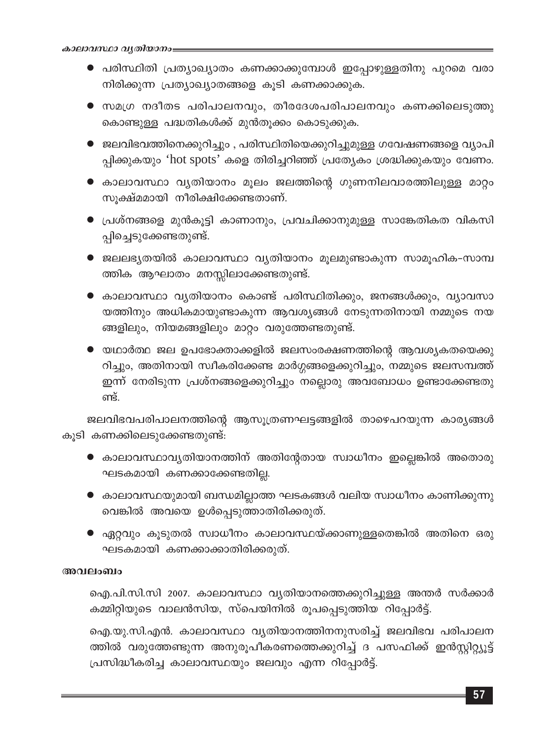- $\bullet$  പരിസ്ഥിതി പ്രത്യാഖ്യാതം കണക്കാക്കുമ്പോൾ ഇപ്പോഴുള്ളതിനു പുറമെ വരാ നിരിക്കുന്ന പ്രത്യാഖ്യാതങ്ങളെ കൂടി കണക്കാക്കുക.
- സമഗ്ര നദീതട പരിപാലനവും, തീരദേശപരിപാലനവും കണക്കിലെടുത്തു കൊണ്ടുള്ള പദ്ധതികൾക്ക് മുൻതൂക്കം കൊടുക്കുക.
- ജലവിഭവത്തിനെക്കുറിച്ചും , പരിസ്ഥിതിയെക്കുറിച്ചുമുള്ള ഗവേഷണങ്ങളെ വ്യാപി പ്പിക്കുകയും 'hot spots' കളെ തിരിച്ചറിഞ്ഞ് പ്രത്യേകം ശ്രദ്ധിക്കുകയും വേണം.
- കാലാവസ്ഥാ വൃതിയാനം മൂലം ജലത്തിന്റെ ഗുണനിലവാരത്തിലുള്ള മാറ്റം സൂക്ഷ്മമായി നീരിക്ഷിക്കേണ്ടതാണ്.
- $\bullet$  പ്രശ്നങ്ങളെ മുൻകൂട്ടി കാണാനും, പ്രവചിക്കാനുമുള്ള സാങ്കേതികത വികസി പ്പിച്ചെടുക്കേണ്ടതുണ്ട്.
- $\bullet$  ജലലഭ്യതയിൽ കാലാവസ്ഥാ വ്യതിയാനം മൂലമുണ്ടാകുന്ന സാമൂഹിക-സാമ്പ ത്തിക ആഘാതം മനസ്സിലാക്കേണ്ടതുണ്ട്.
- കാലാവസ്ഥാ വ്യതിയാനം കൊണ്ട് പരിസ്ഥിതിക്കും, ജനങ്ങൾക്കും, വ്യാവസാ യത്തിനും അധികമായുണ്ടാകുന്ന ആവശ്യങ്ങൾ നേടുന്നതിനായി നമ്മുടെ നയ ങ്ങളിലും, നിയമങ്ങളിലും മാറ്റം വരുത്തേണ്ടതുണ്ട്.
- $\bullet$  യഥാർത്ഥ ജല ഉപഭോക്താക്കളിൽ ജലസംരക്ഷണത്തിന്റെ ആവശ്യകതയെക്കു റിച്ചും, അതിനായി സ്ഥീകരിക്കേണ്ട മാർഗ്ഗങ്ങളെക്കുറിച്ചും, നമ്മുടെ ജലസമ്പത്ത് ഇന്ന് നേരിടുന്ന പ്രശ്നങ്ങളെക്കുറിച്ചും നല്ലൊരു അവബോധം ഉണ്ടാക്കേണ്ടതു ണ്ട്.

ജലവിഭവപരിപാലനത്തിന്റെ ആസൂത്രണഘട്ടങ്ങളിൽ താഴെപറയുന്ന കാര്യങ്ങൾ കൂടി കണക്കിലെടുക്കേണ്ടതുണ്ട്:

- $\bullet$  കാലാവസ്ഥാവ്യതിയാനത്തിന് അതിന്റേതായ സ്വാധീനം ഇല്ലെങ്കിൽ അതൊരു ഘടകമായി കണക്കാക്കേണ്ടതില്ല.
- $\bullet$  കാലാവസ്ഥയുമായി ബന്ധമില്ലാത്ത ഘടകങ്ങൾ വലിയ സ്വാധീനം കാണിക്കുന്നു വെങ്കിൽ അവയെ ഉൾപ്പെടുത്താതിരിക്കരുത്.
- $\bullet$  ഏറ്റവും കൂടുതൽ സ്വാധീനം കാലാവസ്ഥയ്ക്കാണുള്ളതെങ്കിൽ അതിനെ ഒരു ഘടകമായി കണക്കാക്കാതിരിക്കരുത്.

## അവലംബം

ഐ.പി.സി.സി 2007. കാലാവസ്ഥാ വൃതിയാനത്തെക്കുറിച്ചുള്ള അന്തർ സർക്കാർ കമ്മിറ്റിയുടെ വാലൻസിയ, സ്പെയിനിൽ രൂപപ്പെടുത്തിയ റിപ്പോർട്ട്.

ഐ.യു.സി.എൻ. കാലാവസ്ഥാ വൃതിയാനത്തിനനുസരിച്ച് ജലവിഭവ പരിപാലന ത്തിൽ വരുത്തേണ്ടുന്ന അനുരൂപീകരണത്തെക്കുറിച്ച് ദ പസഫിക്ക് ഇൻസ്റ്റിറ്റ്യൂട്ട് പ്രസിദ്ധീകരിച്ച കാലാവസ്ഥയും ജലവും എന്ന റിപ്പോർട്ട്.